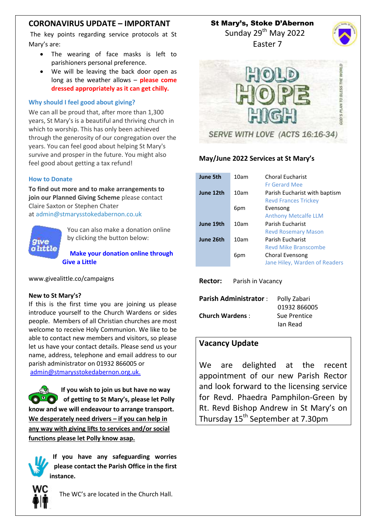## **CORONAVIRUS UPDATE – IMPORTANT**

The key points regarding service protocols at St Mary's are:

- The wearing of face masks is left to parishioners personal preference.
- We will be leaving the back door open as long as the weather allows – **please come dressed appropriately as it can get chilly.**

#### **Why should I feel good about giving?**

We can all be proud that, after more than 1,300 years, St Mary's is a beautiful and thriving church in which to worship. This has only been achieved through the generosity of our congregation over the years. You can feel good about helping St Mary's survive and prosper in the future. You might also feel good about getting a tax refund!

#### **How to Donate**

**To find out more and to make arrangements to join our Planned Giving Scheme** please contact Claire Saxton or Stephen Chater at [admin@stmarysstokedabernon.co.uk](mailto:info@stmarysstokedabernon.co.uk)



You can also make a donation online by clicking the button below:

**Make your [donation](https://givealittle.co/campaigns/7d65d2c5-4189-45f4-9027-11ecb5814414) online through Give a [Little](https://givealittle.co/campaigns/7d65d2c5-4189-45f4-9027-11ecb5814414)**

www.givealittle.co/campaigns

#### **New to St Mary's?**

If this is the first time you are joining us please introduce yourself to the Church Wardens or sides people. Members of all Christian churches are most welcome to receive Holy Communion. We like to be able to contact new members and visitors, so please let us have your contact details. Please send us your name, address, telephone and email address to our parish administrator on 01932 866005 or [admin@stmarysstokedabernon.org.uk.](mailto:admin@stmarysstokedabernon.org.uk)

**If you wish to join us but have no way of getting to St Mary's, please let Polly know and we will endeavour to arrange transport. We desperately need drivers – if you can help in any way with giving lifts to services and/or social functions please let Polly know asap.**

**If you have any safeguarding worries please contact the Parish Office in the first instance.**



The WC's are located in the Church Hall.

St Mary's, Stoke D'Abernon

Sunday 29<sup>th</sup> May 2022 Easter 7





### **May/June 2022 Services at St Mary's**

| June 5th  | 10am | <b>Choral Eucharist</b><br><b>Fr Gerard Mee</b>              |
|-----------|------|--------------------------------------------------------------|
| June 12th | 10am | Parish Eucharist with baptism<br><b>Revd Frances Trickey</b> |
|           | 6pm  | Evensong<br><b>Anthony Metcalfe LLM</b>                      |
| June 19th | 10am | Parish Fucharist<br><b>Revd Rosemary Mason</b>               |
| June 26th | 10am | Parish Fucharist<br>Revd Mike Branscombe                     |
|           | 6pm  | Choral Evensong<br>Jane Hiley, Warden of Readers             |

**Rector:** Parish in Vacancy

| Parish Administrator : | Polly Zabari |
|------------------------|--------------|
|                        | 01932 866005 |
| <b>Church Wardens:</b> | Sue Prentice |
|                        | Jan Read     |

### **Vacancy Update**

We are delighted at the recent appointment of our new Parish Rector and look forward to the licensing service for Revd. Phaedra Pamphilon-Green by Rt. Revd Bishop Andrew in St Mary's on Thursday 15<sup>th</sup> September at 7.30pm